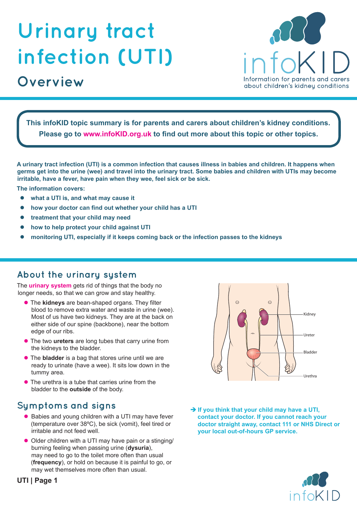# **Urinary tract infection (UTI)**

## **Overview**



**This infoKID topic summary is for parents and carers about children's kidney conditions. Please go to www.infoKID.org.uk to find out more about this topic or other topics.**

**A urinary tract infection (UTI) is a common infection that causes illness in babies and children. It happens when germs get into the urine (wee) and travel into the urinary tract. Some babies and children with UTIs may become irritable, have a fever, have pain when they wee, feel sick or be sick.**

**The information covers:**

- **•** what a UTI is, and what may cause it
- how your doctor can find out whether your child has a UTI
- treatment that your child may need
- how to help protect your child against UTI
- z **monitoring UTI, especially if it keeps coming back or the infection passes to the kidneys**

#### **About the urinary system**

The **urinary system** gets rid of things that the body no longer needs, so that we can grow and stay healthy.

- **The kidneys** are bean-shaped organs. They filter blood to remove extra water and waste in urine (wee). Most of us have two kidneys. They are at the back on either side of our spine (backbone), near the bottom edge of our ribs.
- **The two ureters** are long tubes that carry urine from the kidneys to the bladder.
- **The bladder** is a bag that stores urine until we are ready to urinate (have a wee). It sits low down in the tummy area.
- $\bullet$  The urethra is a tube that carries urine from the bladder to the **outside** of the body.

## **Symptoms and signs**

- Babies and young children with a UTI may have fever (temperature over 38ºC), be sick (vomit), feel tired or irritable and not feed well.
- Older children with a UTI may have pain or a stinging/ burning feeling when passing urine (**dysuria**), may need to go to the toilet more often than usual (**frequency**), or hold on because it is painful to go, or may wet themselves more often than usual.



→ If you think that your child may have a UTI, **contact your doctor. If you cannot reach your doctor straight away, contact 111 or NHS Direct or your local out-of-hours GP service.**